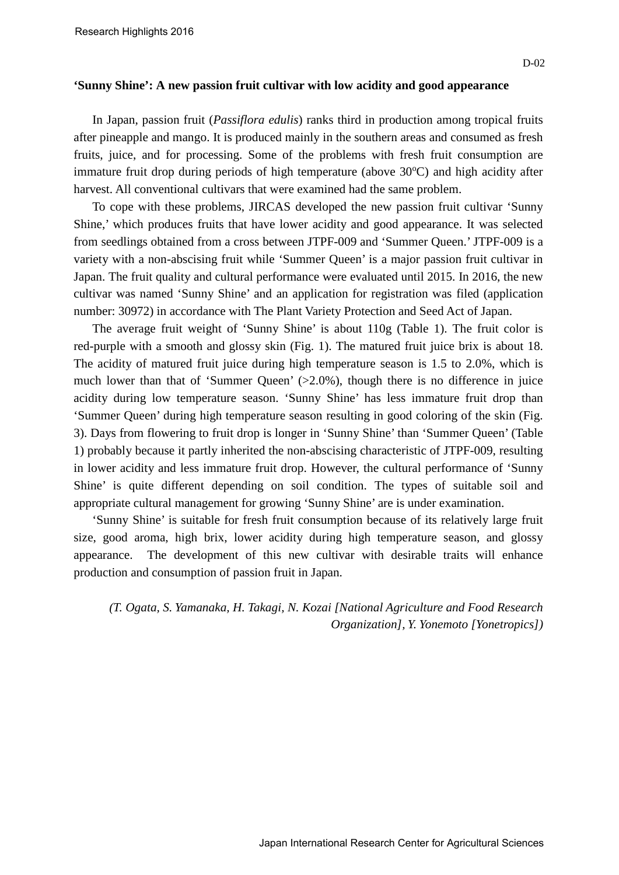## **'Sunny Shine': A new passion fruit cultivar with low acidity and good appearance**

In Japan, passion fruit (*Passiflora edulis*) ranks third in production among tropical fruits after pineapple and mango. It is produced mainly in the southern areas and consumed as fresh fruits, juice, and for processing. Some of the problems with fresh fruit consumption are immature fruit drop during periods of high temperature (above 30°C) and high acidity after harvest. All conventional cultivars that were examined had the same problem.

To cope with these problems, JIRCAS developed the new passion fruit cultivar 'Sunny Shine,' which produces fruits that have lower acidity and good appearance. It was selected from seedlings obtained from a cross between JTPF-009 and 'Summer Queen.' JTPF-009 is a variety with a non-abscising fruit while 'Summer Queen' is a major passion fruit cultivar in Japan. The fruit quality and cultural performance were evaluated until 2015. In 2016, the new cultivar was named 'Sunny Shine' and an application for registration was filed (application number: 30972) in accordance with The Plant Variety Protection and Seed Act of Japan.

The average fruit weight of 'Sunny Shine' is about 110g (Table 1). The fruit color is red-purple with a smooth and glossy skin (Fig. 1). The matured fruit juice brix is about 18. The acidity of matured fruit juice during high temperature season is 1.5 to 2.0%, which is much lower than that of 'Summer Queen' (>2.0%), though there is no difference in juice acidity during low temperature season. 'Sunny Shine' has less immature fruit drop than 'Summer Queen' during high temperature season resulting in good coloring of the skin (Fig. 3). Days from flowering to fruit drop is longer in 'Sunny Shine' than 'Summer Queen' (Table 1) probably because it partly inherited the non-abscising characteristic of JTPF-009, resulting in lower acidity and less immature fruit drop. However, the cultural performance of 'Sunny Shine' is quite different depending on soil condition. The types of suitable soil and appropriate cultural management for growing 'Sunny Shine' are is under examination.

'Sunny Shine' is suitable for fresh fruit consumption because of its relatively large fruit size, good aroma, high brix, lower acidity during high temperature season, and glossy appearance. The development of this new cultivar with desirable traits will enhance production and consumption of passion fruit in Japan.

*(T. Ogata, S. Yamanaka, H. Takagi, N. Kozai [National Agriculture and Food Research Organization], Y. Yonemoto [Yonetropics])*